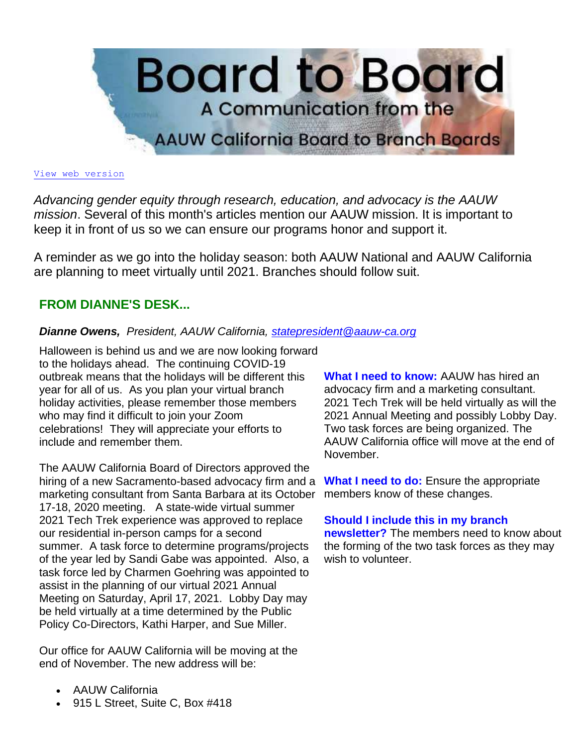

#### [View web version](https://bor.aauw-ca.org/sendy/w/YlrJ763AeyF892b51vFm0EptRw/4FDFL4S593H7oWC6rDwDxg/Lv8PDz9HmQwqISy0zk2hKg)

*Advancing gender equity through research, education, and advocacy is the AAUW mission*. Several of this month's articles mention our AAUW mission. It is important to keep it in front of us so we can ensure our programs honor and support it.

A reminder as we go into the holiday season: both AAUW National and AAUW California are planning to meet virtually until 2021. Branches should follow suit.

# **FROM DIANNE'S DESK...**

# *Dianne Owens, President, AAUW California, [statepresident@aauw-ca.org](mailto:statepresident@aauw-ca.org)*

Halloween is behind us and we are now looking forward to the holidays ahead. The continuing COVID-19 outbreak means that the holidays will be different this year for all of us. As you plan your virtual branch holiday activities, please remember those members who may find it difficult to join your Zoom celebrations! They will appreciate your efforts to include and remember them.

The AAUW California Board of Directors approved the hiring of a new Sacramento-based advocacy firm and a marketing consultant from Santa Barbara at its October 17-18, 2020 meeting. A state-wide virtual summer 2021 Tech Trek experience was approved to replace our residential in-person camps for a second summer. A task force to determine programs/projects of the year led by Sandi Gabe was appointed. Also, a task force led by Charmen Goehring was appointed to assist in the planning of our virtual 2021 Annual Meeting on Saturday, April 17, 2021. Lobby Day may be held virtually at a time determined by the Public Policy Co-Directors, Kathi Harper, and Sue Miller.

Our office for AAUW California will be moving at the end of November. The new address will be:

**What I need to know:** AAUW has hired an advocacy firm and a marketing consultant. 2021 Tech Trek will be held virtually as will the 2021 Annual Meeting and possibly Lobby Day. Two task forces are being organized. The AAUW California office will move at the end of November.

**What I need to do:** Ensure the appropriate members know of these changes.

## **Should I include this in my branch**

**newsletter?** The members need to know about the forming of the two task forces as they may wish to volunteer.

- AAUW California
- 915 L Street, Suite C, Box #418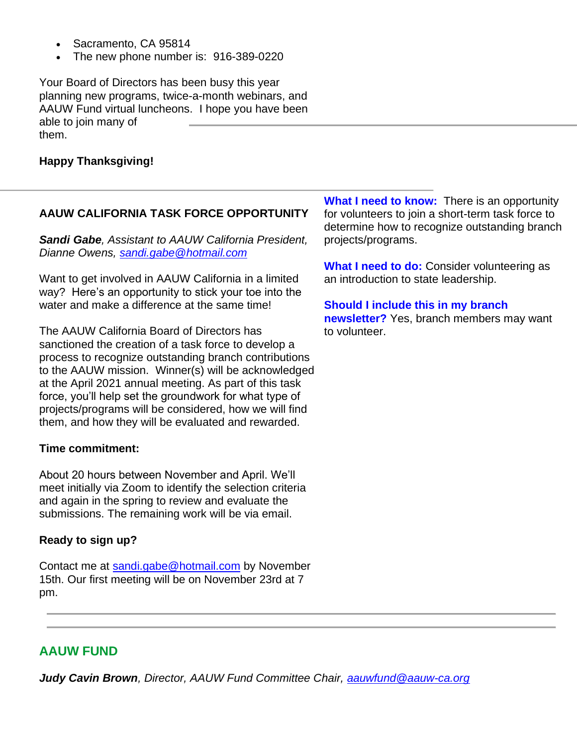- Sacramento, CA 95814
- The new phone number is: 916-389-0220

Your Board of Directors has been busy this year planning new programs, twice-a-month webinars, and AAUW Fund virtual luncheons. I hope you have been able to join many of them.

# **Happy Thanksgiving!**

## **AAUW CALIFORNIA TASK FORCE OPPORTUNITY**

*Sandi Gabe, Assistant to AAUW California President, Dianne Owens, [sandi.gabe@hotmail.com](mailto:sandi.gabe@hotmail.com)*

Want to get involved in AAUW California in a limited way? Here's an opportunity to stick your toe into the water and make a difference at the same time!

The AAUW California Board of Directors has sanctioned the creation of a task force to develop a process to recognize outstanding branch contributions to the AAUW mission. Winner(s) will be acknowledged at the April 2021 annual meeting. As part of this task force, you'll help set the groundwork for what type of projects/programs will be considered, how we will find them, and how they will be evaluated and rewarded.

#### **Time commitment:**

About 20 hours between November and April. We'll meet initially via Zoom to identify the selection criteria and again in the spring to review and evaluate the submissions. The remaining work will be via email.

## **Ready to sign up?**

Contact me at [sandi.gabe@hotmail.com](mailto:sandi.gabe@hotmail.com) by November 15th. Our first meeting will be on November 23rd at 7 pm.

**What I need to know:** There is an opportunity for volunteers to join a short-term task force to determine how to recognize outstanding branch projects/programs.

**What I need to do:** Consider volunteering as an introduction to state leadership.

**Should I include this in my branch newsletter?** Yes, branch members may want to volunteer.

# **AAUW FUND**

*Judy Cavin Brown, Director, AAUW Fund Committee Chair, [aauwfund@aauw-ca.org](mailto:aauwfund@aauw-ca.org)*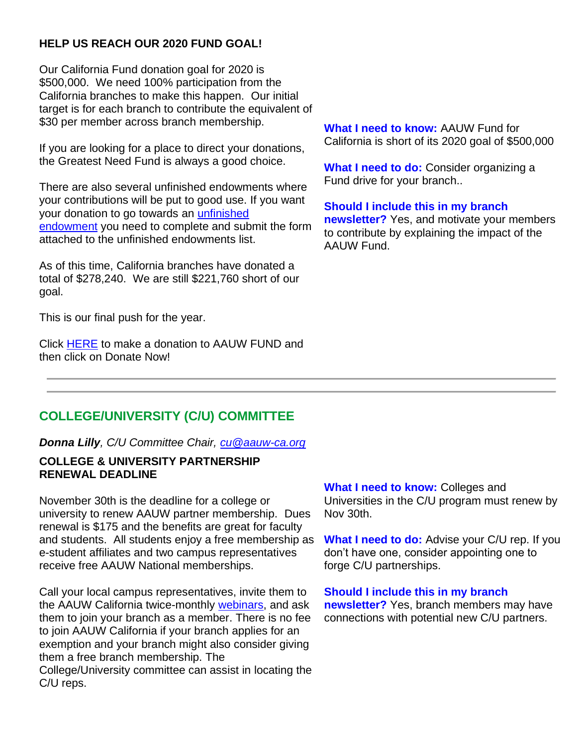# **HELP US REACH OUR 2020 FUND GOAL!**

Our California Fund donation goal for 2020 is \$500,000. We need 100% participation from the California branches to make this happen. Our initial target is for each branch to contribute the equivalent of \$30 per member across branch membership.

If you are looking for a place to direct your donations, the Greatest Need Fund is always a good choice.

There are also several unfinished endowments where your contributions will be put to good use. If you want your donation to go towards an [unfinished](https://bor.aauw-ca.org/sendy/l/YlrJ763AeyF892b51vFm0EptRw/Jdw3SVeRCIASMjo763ucxMyw/Lv8PDz9HmQwqISy0zk2hKg)  [endowment](https://bor.aauw-ca.org/sendy/l/YlrJ763AeyF892b51vFm0EptRw/Jdw3SVeRCIASMjo763ucxMyw/Lv8PDz9HmQwqISy0zk2hKg) you need to complete and submit the form attached to the unfinished endowments list.

As of this time, California branches have donated a total of \$278,240. We are still \$221,760 short of our goal.

This is our final push for the year.

Click [HERE](https://bor.aauw-ca.org/sendy/l/YlrJ763AeyF892b51vFm0EptRw/EbZXOr763Eq8G50G763uZaaOtA/Lv8PDz9HmQwqISy0zk2hKg) to make a donation to AAUW FUND and then click on Donate Now!

**What I need to know:** AAUW Fund for California is short of its 2020 goal of \$500,000

**What I need to do:** Consider organizing a Fund drive for your branch..

**Should I include this in my branch newsletter?** Yes, and motivate your members to contribute by explaining the impact of the AAUW Fund.

# **COLLEGE/UNIVERSITY (C/U) COMMITTEE**

*Donna Lilly, C/U Committee Chair, [cu@aauw-ca.org](mailto:cu@aauw-ca.org)*

# **COLLEGE & UNIVERSITY PARTNERSHIP RENEWAL DEADLINE**

November 30th is the deadline for a college or university to renew AAUW partner membership. Dues renewal is \$175 and the benefits are great for faculty and students. All students enjoy a free membership as e-student affiliates and two campus representatives receive free AAUW National memberships.

Call your local campus representatives, invite them to the AAUW California twice-monthly [webinars,](https://bor.aauw-ca.org/sendy/l/YlrJ763AeyF892b51vFm0EptRw/EsOmDu7FcOpZnKGGdrXpQQ/Lv8PDz9HmQwqISy0zk2hKg) and ask them to join your branch as a member. There is no fee to join AAUW California if your branch applies for an exemption and your branch might also consider giving them a free branch membership. The College/University committee can assist in locating the C/U reps.

**What I need to know:** Colleges and Universities in the C/U program must renew by Nov 30th.

**What I need to do:** Advise your C/U rep. If you don't have one, consider appointing one to forge C/U partnerships.

**Should I include this in my branch newsletter?** Yes, branch members may have

connections with potential new C/U partners.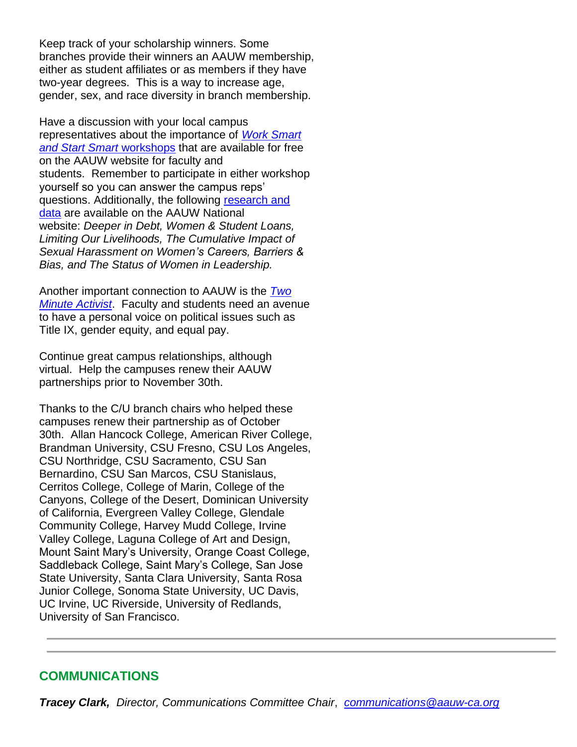Keep track of your scholarship winners. Some branches provide their winners an AAUW membership, either as student affiliates or as members if they have two-year degrees. This is a way to increase age, gender, sex, and race diversity in branch membership.

Have a discussion with your local campus representatives about the importance of *[Work Smart](https://bor.aauw-ca.org/sendy/l/YlrJ763AeyF892b51vFm0EptRw/FO8IgtPPpeYMSeZk3Ty3892w/Lv8PDz9HmQwqISy0zk2hKg)  [and Start Smart](https://bor.aauw-ca.org/sendy/l/YlrJ763AeyF892b51vFm0EptRw/FO8IgtPPpeYMSeZk3Ty3892w/Lv8PDz9HmQwqISy0zk2hKg)* workshops that are available for free on the AAUW website for faculty and students. Remember to participate in either workshop yourself so you can answer the campus reps' questions. Additionally, the following [research and](https://bor.aauw-ca.org/sendy/l/YlrJ763AeyF892b51vFm0EptRw/ZxoQP2HwK2OECa8928BoWjoQ/Lv8PDz9HmQwqISy0zk2hKg)  [data](https://bor.aauw-ca.org/sendy/l/YlrJ763AeyF892b51vFm0EptRw/ZxoQP2HwK2OECa8928BoWjoQ/Lv8PDz9HmQwqISy0zk2hKg) are available on the AAUW National website: *Deeper in Debt, Women & Student Loans, Limiting Our Livelihoods, The Cumulative Impact of Sexual Harassment on Women's Careers, Barriers & Bias, and The Status of Women in Leadership.*

Another important connection to AAUW is the *[Two](https://bor.aauw-ca.org/sendy/l/YlrJ763AeyF892b51vFm0EptRw/892kiK4AFIREw1cHQX2pnYtw/Lv8PDz9HmQwqISy0zk2hKg)  [Minute Activist](https://bor.aauw-ca.org/sendy/l/YlrJ763AeyF892b51vFm0EptRw/892kiK4AFIREw1cHQX2pnYtw/Lv8PDz9HmQwqISy0zk2hKg)*. Faculty and students need an avenue to have a personal voice on political issues such as Title IX, gender equity, and equal pay.

Continue great campus relationships, although virtual. Help the campuses renew their AAUW partnerships prior to November 30th.

Thanks to the C/U branch chairs who helped these campuses renew their partnership as of October 30th. Allan Hancock College, American River College, Brandman University, CSU Fresno, CSU Los Angeles, CSU Northridge, CSU Sacramento, CSU San Bernardino, CSU San Marcos, CSU Stanislaus, Cerritos College, College of Marin, College of the Canyons, College of the Desert, Dominican University of California, Evergreen Valley College, Glendale Community College, Harvey Mudd College, Irvine Valley College, Laguna College of Art and Design, Mount Saint Mary's University, Orange Coast College, Saddleback College, Saint Mary's College, San Jose State University, Santa Clara University, Santa Rosa Junior College, Sonoma State University, UC Davis, UC Irvine, UC Riverside, University of Redlands, University of San Francisco.

# **COMMUNICATIONS**

*Tracey Clark, Director, Communications Committee Chair*, *[communications@aauw-ca.org](mailto:Communications@aauw-ca.org)*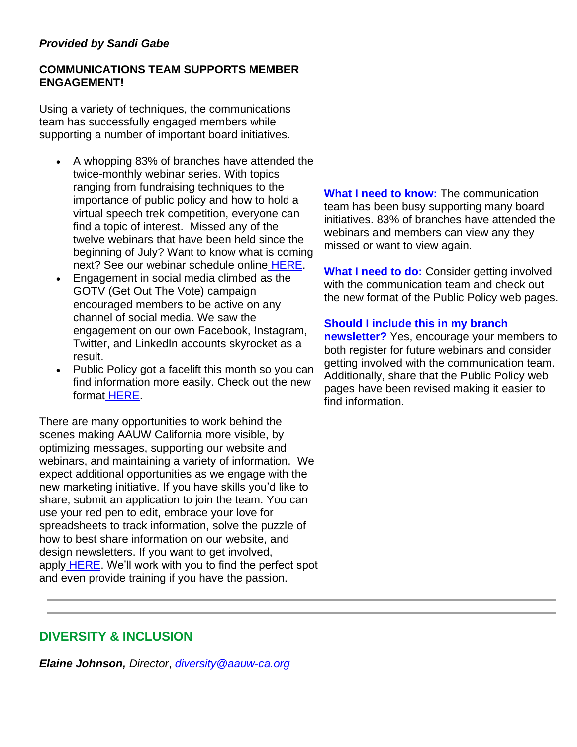# *Provided by Sandi Gabe*

# **COMMUNICATIONS TEAM SUPPORTS MEMBER ENGAGEMENT!**

Using a variety of techniques, the communications team has successfully engaged members while supporting a number of important board initiatives.

- A whopping 83% of branches have attended the twice-monthly webinar series. With topics ranging from fundraising techniques to the importance of public policy and how to hold a virtual speech trek competition, everyone can find a topic of interest. Missed any of the twelve webinars that have been held since the beginning of July? Want to know what is coming next? See our webinar schedule online [HERE.](https://bor.aauw-ca.org/sendy/l/YlrJ763AeyF892b51vFm0EptRw/EsOmDu7FcOpZnKGGdrXpQQ/Lv8PDz9HmQwqISy0zk2hKg)
- Engagement in social media climbed as the GOTV (Get Out The Vote) campaign encouraged members to be active on any channel of social media. We saw the engagement on our own Facebook, Instagram, Twitter, and LinkedIn accounts skyrocket as a result.
- Public Policy got a facelift this month so you can find information more easily. Check out the new format [HERE.](https://bor.aauw-ca.org/sendy/l/YlrJ763AeyF892b51vFm0EptRw/tw8U8eQvbV5rheNIgg763mMw/Lv8PDz9HmQwqISy0zk2hKg)

There are many opportunities to work behind the scenes making AAUW California more visible, by optimizing messages, supporting our website and webinars, and maintaining a variety of information. We expect additional opportunities as we engage with the new marketing initiative. If you have skills you'd like to share, submit an application to join the team. You can use your red pen to edit, embrace your love for spreadsheets to track information, solve the puzzle of how to best share information on our website, and design newsletters. If you want to get involved, apply [HERE.](https://bor.aauw-ca.org/sendy/l/YlrJ763AeyF892b51vFm0EptRw/4892gg17B1zrtwuz4foWU4rg/Lv8PDz9HmQwqISy0zk2hKg) We'll work with you to find the perfect spot and even provide training if you have the passion.

**What I need to know:** The communication team has been busy supporting many board initiatives. 83% of branches have attended the webinars and members can view any they missed or want to view again.

**What I need to do:** Consider getting involved with the communication team and check out the new format of the Public Policy web pages.

# **Should I include this in my branch**

**newsletter?** Yes, encourage your members to both register for future webinars and consider getting involved with the communication team. Additionally, share that the Public Policy web pages have been revised making it easier to find information.

# **DIVERSITY & INCLUSION**

*Elaine Johnson, Director*, *[diversity@aauw-ca.org](mailto:diversity@aauw-ca.org)*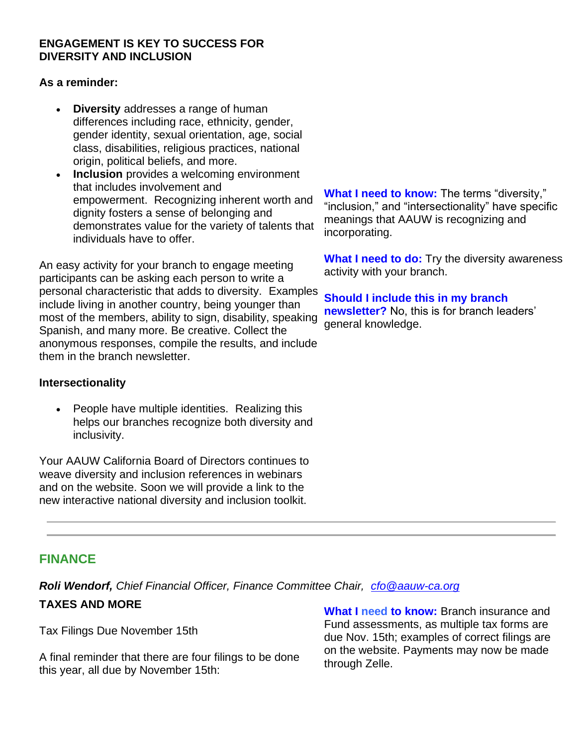## **ENGAGEMENT IS KEY TO SUCCESS FOR DIVERSITY AND INCLUSION**

#### **As a reminder:**

- **Diversity** addresses a range of human differences including race, ethnicity, gender, gender identity, sexual orientation, age, social class, disabilities, religious practices, national origin, political beliefs, and more.
- **Inclusion** provides a welcoming environment that includes involvement and empowerment. Recognizing inherent worth and dignity fosters a sense of belonging and demonstrates value for the variety of talents that individuals have to offer.

An easy activity for your branch to engage meeting participants can be asking each person to write a personal characteristic that adds to diversity. Examples include living in another country, being younger than most of the members, ability to sign, disability, speaking Spanish, and many more. Be creative. Collect the anonymous responses, compile the results, and include them in the branch newsletter.

## **Intersectionality**

• People have multiple identities. Realizing this helps our branches recognize both diversity and inclusivity.

Your AAUW California Board of Directors continues to weave diversity and inclusion references in webinars and on the website. Soon we will provide a link to the new interactive national diversity and inclusion toolkit.

**What I need to know:** The terms "diversity," "inclusion," and "intersectionality" have specific meanings that AAUW is recognizing and incorporating.

**What I need to do:** Try the diversity awareness activity with your branch.

**Should I include this in my branch newsletter?** No, this is for branch leaders' general knowledge.

# **FINANCE**

*Roli Wendorf, Chief Financial Officer, Finance Committee Chair, [cfo@aauw-ca.org](mailto:cfo@aauw-ca.org)*

# **TAXES AND MORE**

Tax Filings Due November 15th

A final reminder that there are four filings to be done this year, all due by November 15th:

**What I need to know:** Branch insurance and Fund assessments, as multiple tax forms are due Nov. 15th; examples of correct filings are on the website. Payments may now be made through Zelle.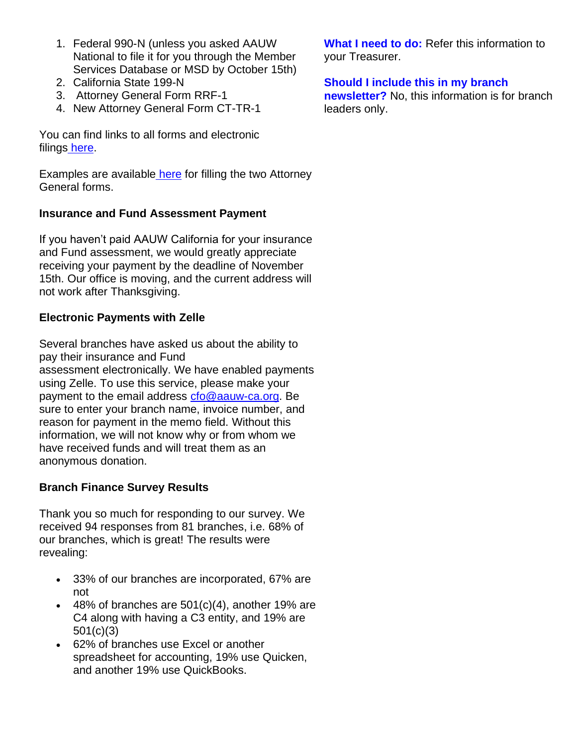- 1. Federal 990-N (unless you asked AAUW National to file it for you through the Member Services Database or MSD by October 15th)
- 2. California State 199-N
- 3. Attorney General Form RRF-1
- 4. New Attorney General Form CT-TR-1

You can find links to all forms and electronic filings [here.](https://bor.aauw-ca.org/sendy/l/YlrJ763AeyF892b51vFm0EptRw/pL09pS8bQ7mxMZkFtyUyKw/Lv8PDz9HmQwqISy0zk2hKg)

Examples are available [here](https://bor.aauw-ca.org/sendy/l/YlrJ763AeyF892b51vFm0EptRw/tMqRSJCNSKuNLSKaVvCdDg/Lv8PDz9HmQwqISy0zk2hKg) for filling the two Attorney General forms.

# **Insurance and Fund Assessment Payment**

If you haven't paid AAUW California for your insurance and Fund assessment, we would greatly appreciate receiving your payment by the deadline of November 15th. Our office is moving, and the current address will not work after Thanksgiving.

# **Electronic Payments with Zelle**

Several branches have asked us about the ability to pay their insurance and Fund assessment electronically. We have enabled payments using Zelle. To use this service, please make your payment to the email address [cfo@aauw-ca.org.](mailto:cfo@aauw-ca.org) Be sure to enter your branch name, invoice number, and reason for payment in the memo field. Without this information, we will not know why or from whom we have received funds and will treat them as an anonymous donation.

# **Branch Finance Survey Results**

Thank you so much for responding to our survey. We received 94 responses from 81 branches, i.e. 68% of our branches, which is great! The results were revealing:

- 33% of our branches are incorporated, 67% are not
- $\bullet$  48% of branches are 501(c)(4), another 19% are C4 along with having a C3 entity, and 19% are 501(c)(3)
- 62% of branches use Excel or another spreadsheet for accounting, 19% use Quicken, and another 19% use QuickBooks.

**What I need to do:** Refer this information to your Treasurer.

# **Should I include this in my branch**

**newsletter?** No, this information is for branch leaders only.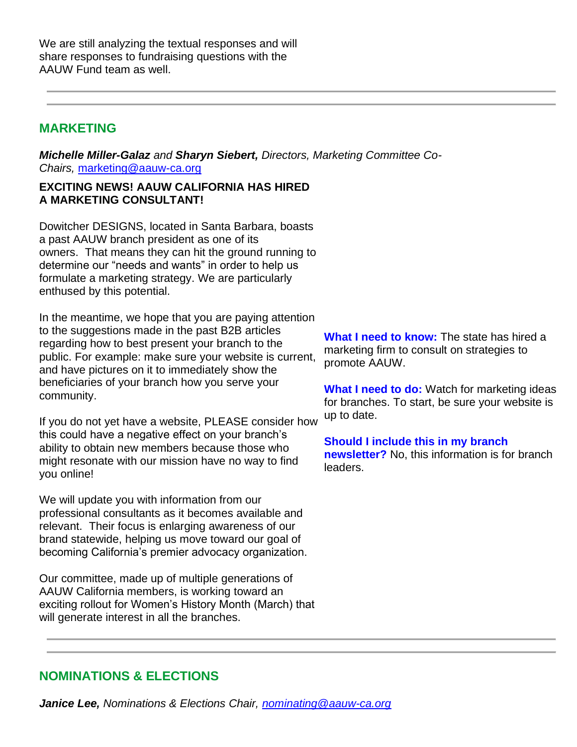We are still analyzing the textual responses and will share responses to fundraising questions with the AAUW Fund team as well.

# **MARKETING**

*Michelle Miller-Galaz and Sharyn Siebert, Directors, Marketing Committee Co-Chairs,* [marketing@aauw-ca.org](mailto:marketing@aauw-ca.org)

## **EXCITING NEWS! AAUW CALIFORNIA HAS HIRED A MARKETING CONSULTANT!**

Dowitcher DESIGNS, located in Santa Barbara, boasts a past AAUW branch president as one of its owners. That means they can hit the ground running to determine our "needs and wants" in order to help us formulate a marketing strategy. We are particularly enthused by this potential.

In the meantime, we hope that you are paying attention to the suggestions made in the past B2B articles regarding how to best present your branch to the public. For example: make sure your website is current, and have pictures on it to immediately show the beneficiaries of your branch how you serve your community.

If you do not yet have a website, PLEASE consider how this could have a negative effect on your branch's ability to obtain new members because those who might resonate with our mission have no way to find you online!

We will update you with information from our professional consultants as it becomes available and relevant. Their focus is enlarging awareness of our brand statewide, helping us move toward our goal of becoming California's premier advocacy organization.

Our committee, made up of multiple generations of AAUW California members, is working toward an exciting rollout for Women's History Month (March) that will generate interest in all the branches.

**What I need to know:** The state has hired a marketing firm to consult on strategies to promote AAUW.

**What I need to do:** Watch for marketing ideas for branches. To start, be sure your website is up to date.

**Should I include this in my branch newsletter?** No, this information is for branch leaders.

# **NOMINATIONS & ELECTIONS**

*Janice Lee, Nominations & Elections Chair, [nominating@aauw-ca.org](mailto:nominating@aauw-ca.org)*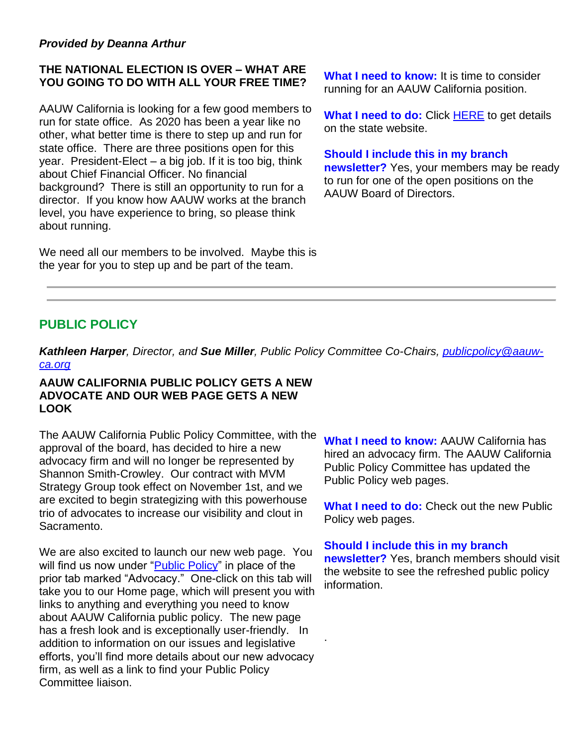## *Provided by Deanna Arthur*

## **THE NATIONAL ELECTION IS OVER – WHAT ARE YOU GOING TO DO WITH ALL YOUR FREE TIME?**

AAUW California is looking for a few good members to run for state office. As 2020 has been a year like no other, what better time is there to step up and run for state office. There are three positions open for this year. President-Elect – a big job. If it is too big, think about Chief Financial Officer. No financial background? There is still an opportunity to run for a director. If you know how AAUW works at the branch level, you have experience to bring, so please think about running.

We need all our members to be involved. Maybe this is the year for you to step up and be part of the team.

**What I need to know:** It is time to consider running for an AAUW California position.

**What I need to do:** Click [HERE](https://bor.aauw-ca.org/sendy/l/YlrJ763AeyF892b51vFm0EptRw/yxjuwwkHxsmGhNtakxYQfQ/Lv8PDz9HmQwqISy0zk2hKg) to get details on the state website.

#### **Should I include this in my branch**

**newsletter?** Yes, your members may be ready to run for one of the open positions on the AAUW Board of Directors.

# **PUBLIC POLICY**

*Kathleen Harper, Director, and Sue Miller, Public Policy Committee Co-Chairs, [publicpolicy@aauw](mailto:PublicPolicy@aauw-ca.org)[ca.org](mailto:PublicPolicy@aauw-ca.org)*

.

#### **AAUW CALIFORNIA PUBLIC POLICY GETS A NEW ADVOCATE AND OUR WEB PAGE GETS A NEW LOOK**

The AAUW California Public Policy Committee, with the approval of the board, has decided to hire a new advocacy firm and will no longer be represented by Shannon Smith-Crowley. Our contract with MVM Strategy Group took effect on November 1st, and we are excited to begin strategizing with this powerhouse trio of advocates to increase our visibility and clout in Sacramento.

We are also excited to launch our new web page. You will find us now under ["Public Policy"](https://bor.aauw-ca.org/sendy/l/YlrJ763AeyF892b51vFm0EptRw/tw8U8eQvbV5rheNIgg763mMw/Lv8PDz9HmQwqISy0zk2hKg) in place of the prior tab marked "Advocacy." One-click on this tab will take you to our Home page, which will present you with links to anything and everything you need to know about AAUW California public policy. The new page has a fresh look and is exceptionally user-friendly. In addition to information on our issues and legislative efforts, you'll find more details about our new advocacy firm, as well as a link to find your Public Policy Committee liaison.

**What I need to know:** AAUW California has hired an advocacy firm. The AAUW California Public Policy Committee has updated the Public Policy web pages.

**What I need to do:** Check out the new Public Policy web pages.

#### **Should I include this in my branch**

**newsletter?** Yes, branch members should visit the website to see the refreshed public policy information.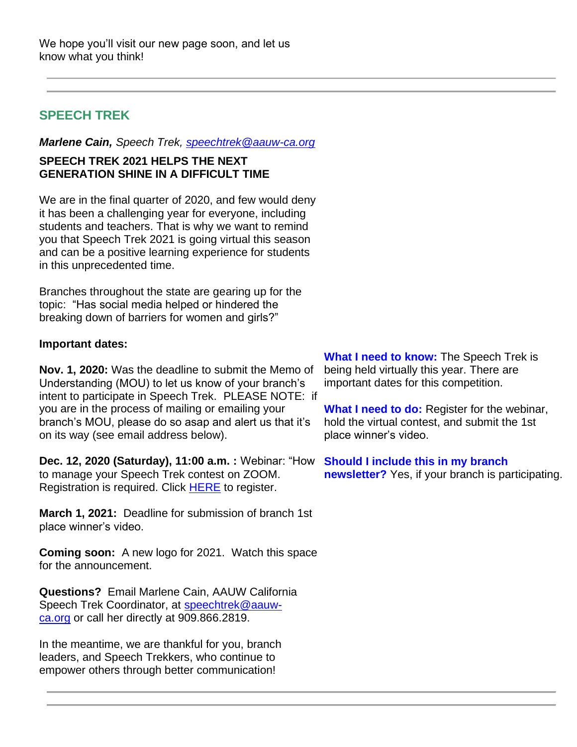# **SPEECH TREK**

*Marlene Cain, Speech Trek, [speechtrek@aauw-ca.org](mailto:speechtrek@aauw-ca.org)*

# **SPEECH TREK 2021 HELPS THE NEXT GENERATION SHINE IN A DIFFICULT TIME**

We are in the final quarter of 2020, and few would deny it has been a challenging year for everyone, including students and teachers. That is why we want to remind you that Speech Trek 2021 is going virtual this season and can be a positive learning experience for students in this unprecedented time.

Branches throughout the state are gearing up for the topic: "Has social media helped or hindered the breaking down of barriers for women and girls?"

# **Important dates:**

**Nov. 1, 2020:** Was the deadline to submit the Memo of Understanding (MOU) to let us know of your branch's intent to participate in Speech Trek. PLEASE NOTE: if you are in the process of mailing or emailing your branch's MOU, please do so asap and alert us that it's on its way (see email address below).

**Dec. 12, 2020 (Saturday), 11:00 a.m. :** Webinar: "How to manage your Speech Trek contest on ZOOM. Registration is required. Click **[HERE](https://bor.aauw-ca.org/sendy/l/YlrJ763AeyF892b51vFm0EptRw/6EyXVUXevy892f1uFjpSPiQg/Lv8PDz9HmQwqISy0zk2hKg)** to register.

**March 1, 2021:** Deadline for submission of branch 1st place winner's video.

**Coming soon:** A new logo for 2021. Watch this space for the announcement.

**Questions?** Email Marlene Cain, AAUW California Speech Trek Coordinator, at [speechtrek@aauw](mailto:speechtrek@aauw-ca.org)[ca.org](mailto:speechtrek@aauw-ca.org) or call her directly at 909.866.2819.

In the meantime, we are thankful for you, branch leaders, and Speech Trekkers, who continue to empower others through better communication!

**What I need to know:** The Speech Trek is being held virtually this year. There are important dates for this competition.

**What I need to do:** Register for the webinar, hold the virtual contest, and submit the 1st place winner's video.

**Should I include this in my branch newsletter?** Yes, if your branch is participating.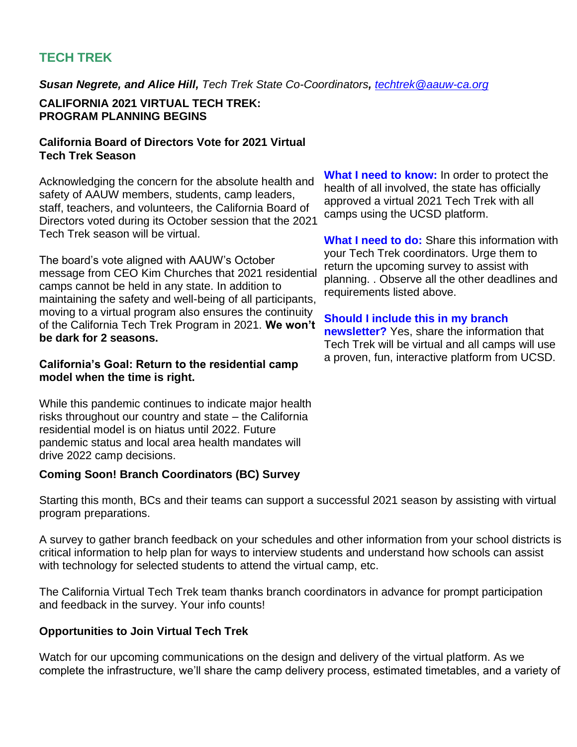# **TECH TREK**

*Susan Negrete, and Alice Hill, Tech Trek State Co-Coordinators, [techtrek@aauw-ca.org](mailto:techtrek@aauw-ca.org)*

# **CALIFORNIA 2021 VIRTUAL TECH TREK: PROGRAM PLANNING BEGINS**

## **California Board of Directors Vote for 2021 Virtual Tech Trek Season**

Acknowledging the concern for the absolute health and safety of AAUW members, students, camp leaders, staff, teachers, and volunteers, the California Board of Directors voted during its October session that the 2021 Tech Trek season will be virtual.

The board's vote aligned with AAUW's October message from CEO Kim Churches that 2021 residential camps cannot be held in any state. In addition to maintaining the safety and well-being of all participants, moving to a virtual program also ensures the continuity of the California Tech Trek Program in 2021. **We won't be dark for 2 seasons.**

# **California's Goal: Return to the residential camp model when the time is right.**

While this pandemic continues to indicate major health risks throughout our country and state – the California residential model is on hiatus until 2022. Future pandemic status and local area health mandates will drive 2022 camp decisions.

# **Coming Soon! Branch Coordinators (BC) Survey**

Starting this month, BCs and their teams can support a successful 2021 season by assisting with virtual program preparations.

A survey to gather branch feedback on your schedules and other information from your school districts is critical information to help plan for ways to interview students and understand how schools can assist with technology for selected students to attend the virtual camp, etc.

The California Virtual Tech Trek team thanks branch coordinators in advance for prompt participation and feedback in the survey. Your info counts!

## **Opportunities to Join Virtual Tech Trek**

Watch for our upcoming communications on the design and delivery of the virtual platform. As we complete the infrastructure, we'll share the camp delivery process, estimated timetables, and a variety of

**What I need to know:** In order to protect the health of all involved, the state has officially approved a virtual 2021 Tech Trek with all camps using the UCSD platform.

**What I need to do:** Share this information with your Tech Trek coordinators. Urge them to return the upcoming survey to assist with planning. . Observe all the other deadlines and requirements listed above.

# **Should I include this in my branch**

**newsletter?** Yes, share the information that Tech Trek will be virtual and all camps will use a proven, fun, interactive platform from UCSD.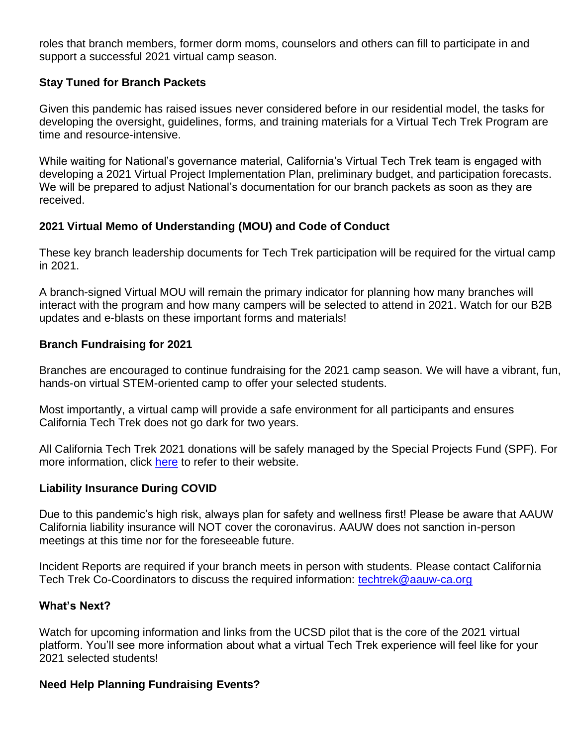roles that branch members, former dorm moms, counselors and others can fill to participate in and support a successful 2021 virtual camp season.

# **Stay Tuned for Branch Packets**

Given this pandemic has raised issues never considered before in our residential model, the tasks for developing the oversight, guidelines, forms, and training materials for a Virtual Tech Trek Program are time and resource-intensive.

While waiting for National's governance material, California's Virtual Tech Trek team is engaged with developing a 2021 Virtual Project Implementation Plan, preliminary budget, and participation forecasts. We will be prepared to adjust National's documentation for our branch packets as soon as they are received.

# **2021 Virtual Memo of Understanding (MOU) and Code of Conduct**

These key branch leadership documents for Tech Trek participation will be required for the virtual camp in 2021.

A branch-signed Virtual MOU will remain the primary indicator for planning how many branches will interact with the program and how many campers will be selected to attend in 2021. Watch for our B2B updates and e-blasts on these important forms and materials!

# **Branch Fundraising for 2021**

Branches are encouraged to continue fundraising for the 2021 camp season. We will have a vibrant, fun, hands-on virtual STEM-oriented camp to offer your selected students.

Most importantly, a virtual camp will provide a safe environment for all participants and ensures California Tech Trek does not go dark for two years.

All California Tech Trek 2021 donations will be safely managed by the Special Projects Fund (SPF). For more information, click [here](https://bor.aauw-ca.org/sendy/l/YlrJ763AeyF892b51vFm0EptRw/fFXxgt7Uf763cKcVXRm892OxTg/Lv8PDz9HmQwqISy0zk2hKg) to refer to their website.

## **Liability Insurance During COVID**

Due to this pandemic's high risk, always plan for safety and wellness first! Please be aware that AAUW California liability insurance will NOT cover the coronavirus. AAUW does not sanction in-person meetings at this time nor for the foreseeable future.

Incident Reports are required if your branch meets in person with students. Please contact California Tech Trek Co-Coordinators to discuss the required information: [techtrek@aauw-ca.org](mailto:techtrek@aauw-ca.org)

## **What's Next?**

Watch for upcoming information and links from the UCSD pilot that is the core of the 2021 virtual platform. You'll see more information about what a virtual Tech Trek experience will feel like for your 2021 selected students!

## **Need Help Planning Fundraising Events?**